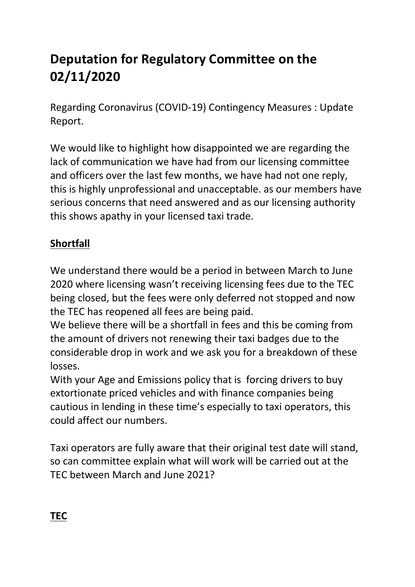## **Deputation for Regulatory Committee on the 02/11/2020**

Regarding Coronavirus (COVID-19) Contingency Measures : Update Report.

We would like to highlight how disappointed we are regarding the lack of communication we have had from our licensing committee and officers over the last few months, we have had not one reply, this is highly unprofessional and unacceptable. as our members have serious concerns that need answered and as our licensing authority this shows apathy in your licensed taxi trade.

## **Shortfall**

We understand there would be a period in between March to June 2020 where licensing wasn't receiving licensing fees due to the TEC being closed, but the fees were only deferred not stopped and now the TEC has reopened all fees are being paid.

We believe there will be a shortfall in fees and this be coming from the amount of drivers not renewing their taxi badges due to the considerable drop in work and we ask you for a breakdown of these losses.

With your Age and Emissions policy that is forcing drivers to buy extortionate priced vehicles and with finance companies being cautious in lending in these time's especially to taxi operators, this could affect our numbers.

Taxi operators are fully aware that their original test date will stand, so can committee explain what will work will be carried out at the TEC between March and June 2021?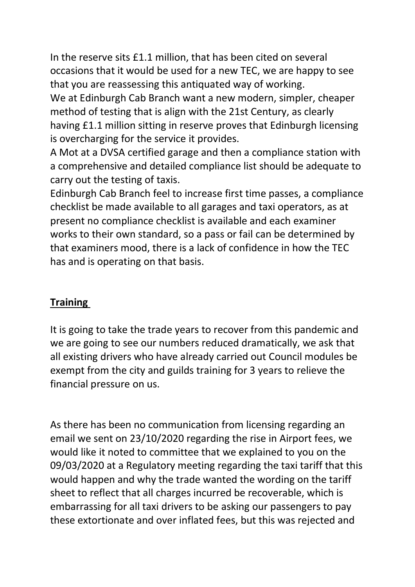In the reserve sits £1.1 million, that has been cited on several occasions that it would be used for a new TEC, we are happy to see that you are reassessing this antiquated way of working.

We at Edinburgh Cab Branch want a new modern, simpler, cheaper method of testing that is align with the 21st Century, as clearly having £1.1 million sitting in reserve proves that Edinburgh licensing is overcharging for the service it provides.

A Mot at a DVSA certified garage and then a compliance station with a comprehensive and detailed compliance list should be adequate to carry out the testing of taxis.

Edinburgh Cab Branch feel to increase first time passes, a compliance checklist be made available to all garages and taxi operators, as at present no compliance checklist is available and each examiner works to their own standard, so a pass or fail can be determined by that examiners mood, there is a lack of confidence in how the TEC has and is operating on that basis.

## **Training**

It is going to take the trade years to recover from this pandemic and we are going to see our numbers reduced dramatically, we ask that all existing drivers who have already carried out Council modules be exempt from the city and guilds training for 3 years to relieve the financial pressure on us.

As there has been no communication from licensing regarding an email we sent on 23/10/2020 regarding the rise in Airport fees, we would like it noted to committee that we explained to you on the 09/03/2020 at a Regulatory meeting regarding the taxi tariff that this would happen and why the trade wanted the wording on the tariff sheet to reflect that all charges incurred be recoverable, which is embarrassing for all taxi drivers to be asking our passengers to pay these extortionate and over inflated fees, but this was rejected and